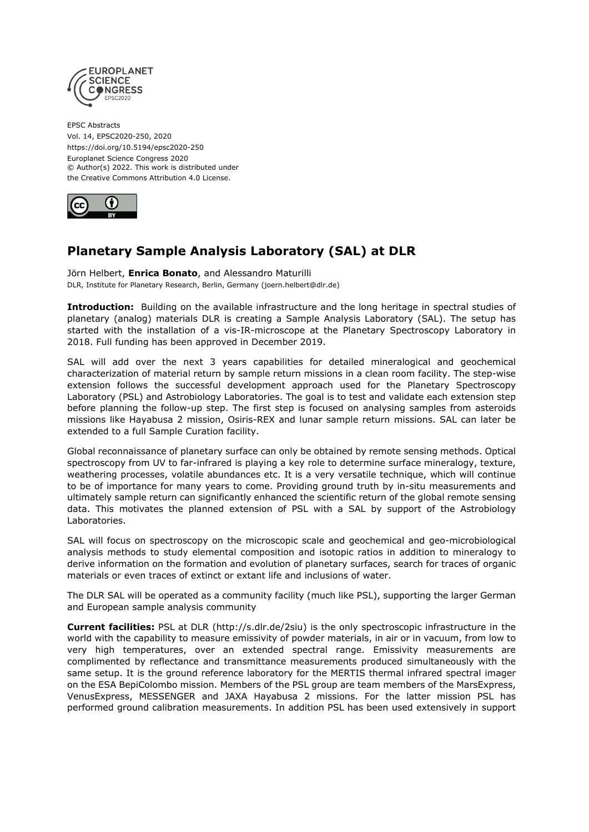

EPSC Abstracts Vol. 14, EPSC2020-250, 2020 https://doi.org/10.5194/epsc2020-250 Europlanet Science Congress 2020 © Author(s) 2022. This work is distributed under the Creative Commons Attribution 4.0 License.



## **Planetary Sample Analysis Laboratory (SAL) at DLR**

Jörn Helbert, **Enrica Bonato**, and Alessandro Maturilli DLR, Institute for Planetary Research, Berlin, Germany (joern.helbert@dlr.de)

**Introduction:** Building on the available infrastructure and the long heritage in spectral studies of planetary (analog) materials DLR is creating a Sample Analysis Laboratory (SAL). The setup has started with the installation of a vis-IR-microscope at the Planetary Spectroscopy Laboratory in 2018. Full funding has been approved in December 2019.

SAL will add over the next 3 years capabilities for detailed mineralogical and geochemical characterization of material return by sample return missions in a clean room facility. The step-wise extension follows the successful development approach used for the Planetary Spectroscopy Laboratory (PSL) and Astrobiology Laboratories. The goal is to test and validate each extension step before planning the follow-up step. The first step is focused on analysing samples from asteroids missions like Hayabusa 2 mission, Osiris-REX and lunar sample return missions. SAL can later be extended to a full Sample Curation facility.

Global reconnaissance of planetary surface can only be obtained by remote sensing methods. Optical spectroscopy from UV to far-infrared is playing a key role to determine surface mineralogy, texture, weathering processes, volatile abundances etc. It is a very versatile technique, which will continue to be of importance for many years to come. Providing ground truth by in-situ measurements and ultimately sample return can significantly enhanced the scientific return of the global remote sensing data. This motivates the planned extension of PSL with a SAL by support of the Astrobiology Laboratories.

SAL will focus on spectroscopy on the microscopic scale and geochemical and geo-microbiological analysis methods to study elemental composition and isotopic ratios in addition to mineralogy to derive information on the formation and evolution of planetary surfaces, search for traces of organic materials or even traces of extinct or extant life and inclusions of water.

The DLR SAL will be operated as a community facility (much like PSL), supporting the larger German and European sample analysis community

**Current facilities:** PSL at DLR (http://s.dlr.de/2siu) is the only spectroscopic infrastructure in the world with the capability to measure emissivity of powder materials, in air or in vacuum, from low to very high temperatures, over an extended spectral range. Emissivity measurements are complimented by reflectance and transmittance measurements produced simultaneously with the same setup. It is the ground reference laboratory for the MERTIS thermal infrared spectral imager on the ESA BepiColombo mission. Members of the PSL group are team members of the MarsExpress, VenusExpress, MESSENGER and JAXA Hayabusa 2 missions. For the latter mission PSL has performed ground calibration measurements. In addition PSL has been used extensively in support